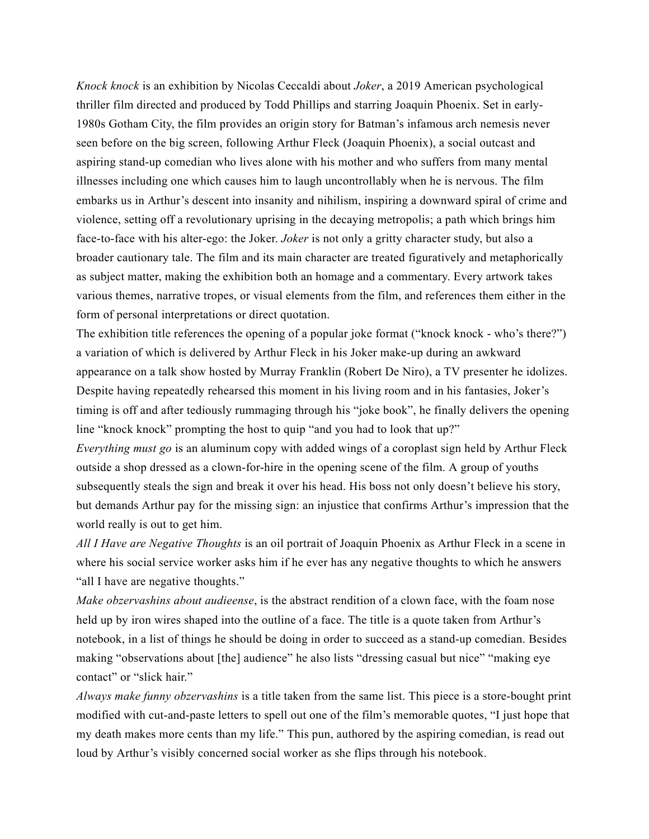*Knock knock* is an exhibition by Nicolas Ceccaldi about *Joker*, a 2019 American psychological thriller film directed and produced by Todd Phillips and starring Joaquin Phoenix. Set in early-1980s Gotham City, the film provides an origin story for Batman's infamous arch nemesis never seen before on the big screen, following Arthur Fleck (Joaquin Phoenix), a social outcast and aspiring stand-up comedian who lives alone with his mother and who suffers from many mental illnesses including one which causes him to laugh uncontrollably when he is nervous. The film embarks us in Arthur's descent into insanity and nihilism, inspiring a downward spiral of crime and violence, setting off a revolutionary uprising in the decaying metropolis; a path which brings him face-to-face with his alter-ego: the Joker. *Joker* is not only a gritty character study, but also a broader cautionary tale. The film and its main character are treated figuratively and metaphorically as subject matter, making the exhibition both an homage and a commentary. Every artwork takes various themes, narrative tropes, or visual elements from the film, and references them either in the form of personal interpretations or direct quotation.

The exhibition title references the opening of a popular joke format ("knock knock - who's there?") a variation of which is delivered by Arthur Fleck in his Joker make-up during an awkward appearance on a talk show hosted by Murray Franklin (Robert De Niro), a TV presenter he idolizes. Despite having repeatedly rehearsed this moment in his living room and in his fantasies, Joker's timing is off and after tediously rummaging through his "joke book", he finally delivers the opening line "knock knock" prompting the host to quip "and you had to look that up?"

*Everything must go* is an aluminum copy with added wings of a coroplast sign held by Arthur Fleck outside a shop dressed as a clown-for-hire in the opening scene of the film. A group of youths subsequently steals the sign and break it over his head. His boss not only doesn't believe his story, but demands Arthur pay for the missing sign: an injustice that confirms Arthur's impression that the world really is out to get him.

*All I Have are Negative Thoughts* is an oil portrait of Joaquin Phoenix as Arthur Fleck in a scene in where his social service worker asks him if he ever has any negative thoughts to which he answers "all I have are negative thoughts."

*Make obzervashins about audieense*, is the abstract rendition of a clown face, with the foam nose held up by iron wires shaped into the outline of a face. The title is a quote taken from Arthur's notebook, in a list of things he should be doing in order to succeed as a stand-up comedian. Besides making "observations about [the] audience" he also lists "dressing casual but nice" "making eye contact" or "slick hair."

*Always make funny obzervashins* is a title taken from the same list. This piece is a store-bought print modified with cut-and-paste letters to spell out one of the film's memorable quotes, "I just hope that my death makes more cents than my life." This pun, authored by the aspiring comedian, is read out loud by Arthur's visibly concerned social worker as she flips through his notebook.